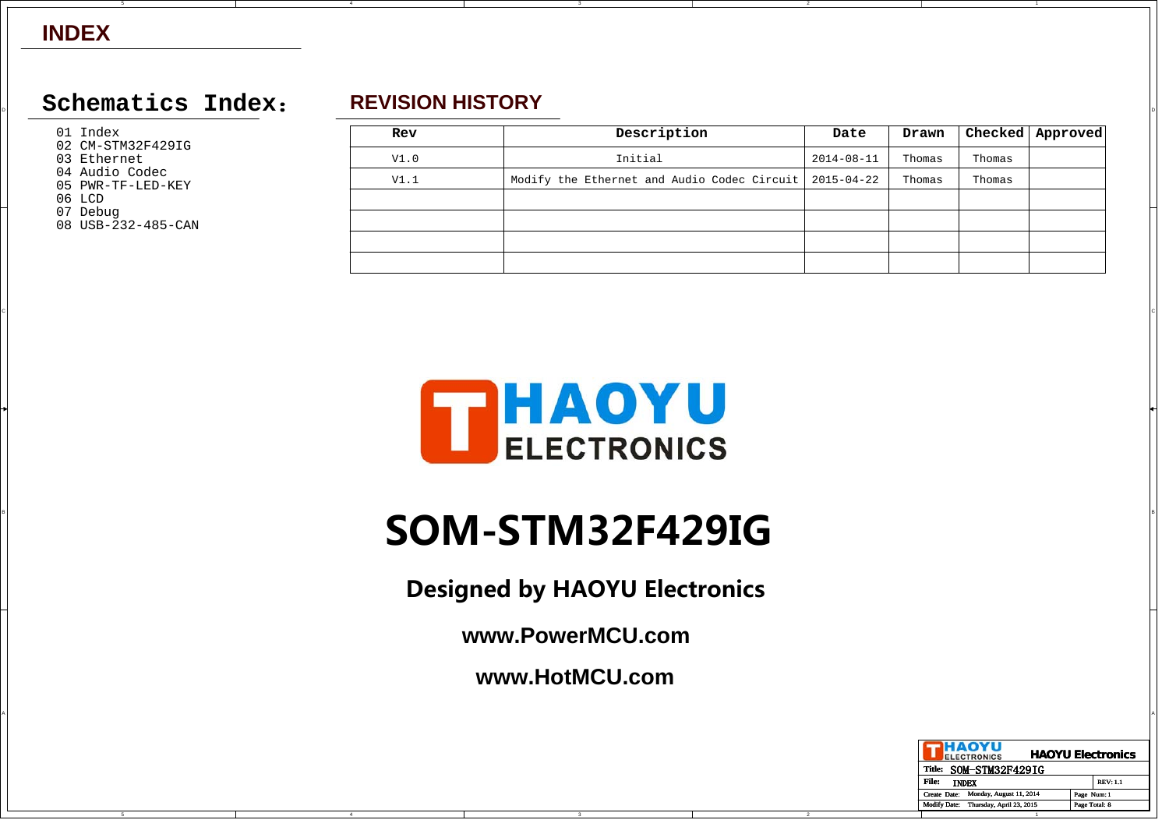### $\Box$  Schematics Index: REVISION HISTORY **REVISION HISTORY**

01 Index

- 02 CM-STM32F429IG
- 03 Ethernet
- 04 Audio Codec05 PWR-TF-LED-KEY
- 06 LCD

C

B

A

- 07 Debug
- 08 USB-232-485-CAN

# **REVISION HISTORY**

4

| Rev  | Description                                 | Date             | Drawn  |        | Checked   Approved |
|------|---------------------------------------------|------------------|--------|--------|--------------------|
| V1.0 | Initial                                     | $2014 - 08 - 11$ | Thomas | Thomas |                    |
| V1.1 | Modify the Ethernet and Audio Codec Circuit | 2015-04-22       | Thomas | Thomas |                    |
|      |                                             |                  |        |        |                    |
|      |                                             |                  |        |        |                    |
|      |                                             |                  |        |        |                    |
|      |                                             |                  |        |        |                    |

2



CIL AND A REPORT OF THE RESERVE OF THE RESERVE OF THE RESERVE OF THE RESERVE OF THE RESERVE OF THE RESERVE OF THE RESERVE OF THE RESERVE OF THE RESERVE OF THE RESERVE OF THE RESERVE OF THE RESERVE OF THE RESERVE OF THE RES

# B **SOM-STM32F429IG**

**Designed by HAOYU Electronics**

**www.PowerMCU.com**

**www.HotMCU.com**

A

| HAOYU<br><b>ELECTRONICS</b>                     | <b>HAOYU Electronics</b> |
|-------------------------------------------------|--------------------------|
| SOM-STM32F429IG<br><b>Title:</b>                |                          |
| File:<br><b>INDEX</b>                           | <b>REV: 1.1</b>          |
| Monday, August 11, 2014<br>Create Date:         | Page Num: 1              |
| <b>Modify Date:</b><br>Thursday, April 23, 2015 | Page Total: 8            |
|                                                 |                          |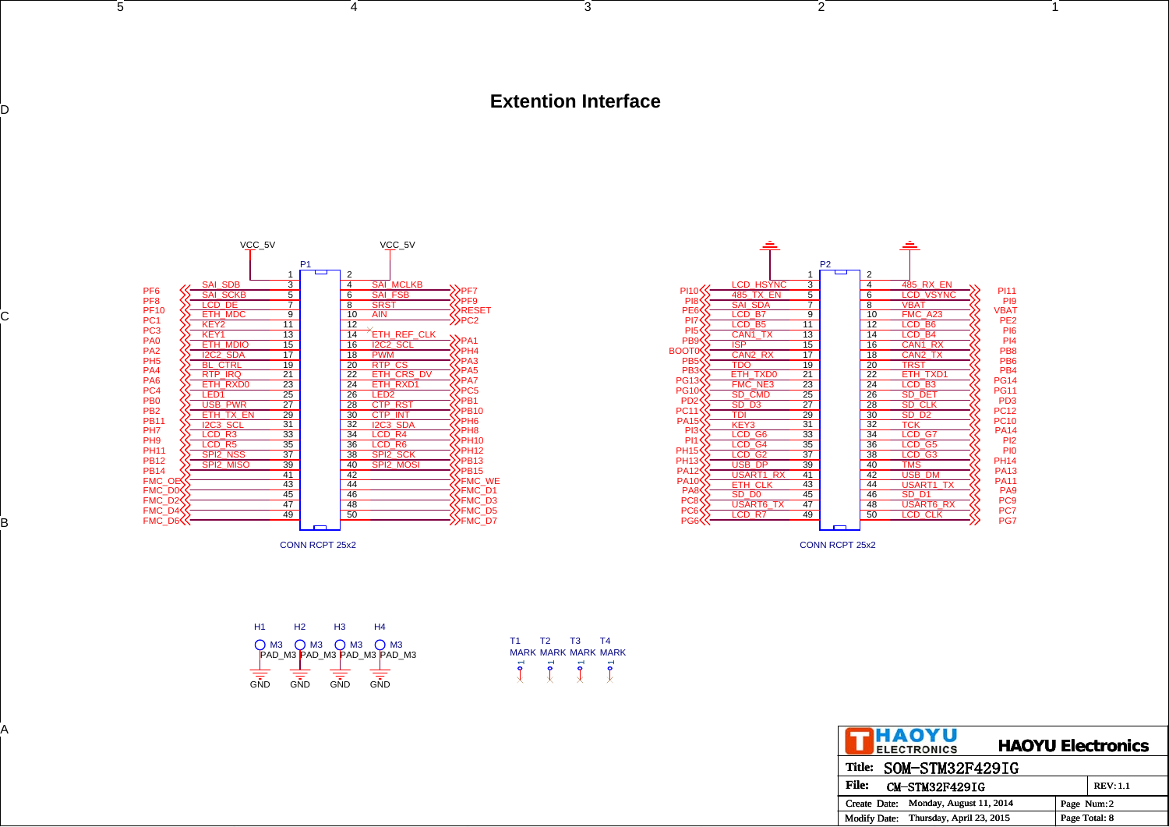#### **Extention Interface**

T1 T2 T3 T4 MARK MARK MARK MARK

 $\overline{ }$ 

 $\overline{\mathfrak{X}}$ 

 $\overline{\phantom{0}}$ 

 $\overline{\phantom{0}}$ 

 $\begin{array}{ccccccc} 5 & 2 & 1 \end{array}$ 



5

D

C

B



CONN RCPT 25x2

| H1         | H <sub>2</sub> | H <sub>3</sub> | H4                                                 |
|------------|----------------|----------------|----------------------------------------------------|
|            |                |                | O M3 O M3 O M3 O M3<br>PAD_M3 PAD_M3 PAD_M3 PAD_M3 |
|            |                |                |                                                    |
|            |                |                |                                                    |
| <b>GND</b> | <b>GND</b>     | GND            | GND                                                |

| <b>THAOYU</b><br><b>HAOYU Electronics</b><br>ELECTRONICS |              |
|----------------------------------------------------------|--------------|
| Title: SOM-STM32F429IG                                   |              |
| CM-STM32F429IG<br><b>REV: 1.1</b>                        | <b>File:</b> |
| Create Date: Monday, August 11, 2014<br>Page Num:2       |              |
| Page Total: 8<br>Modify Date: Thursday, April 23, 2015   |              |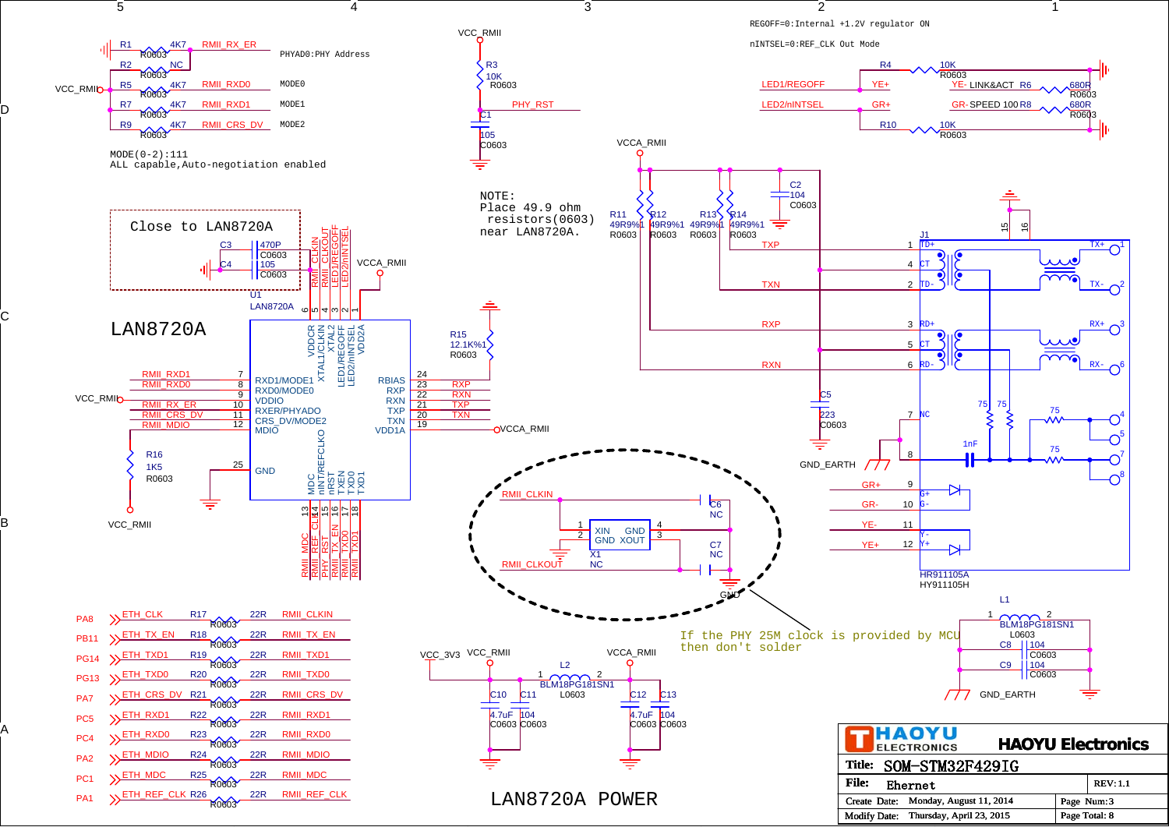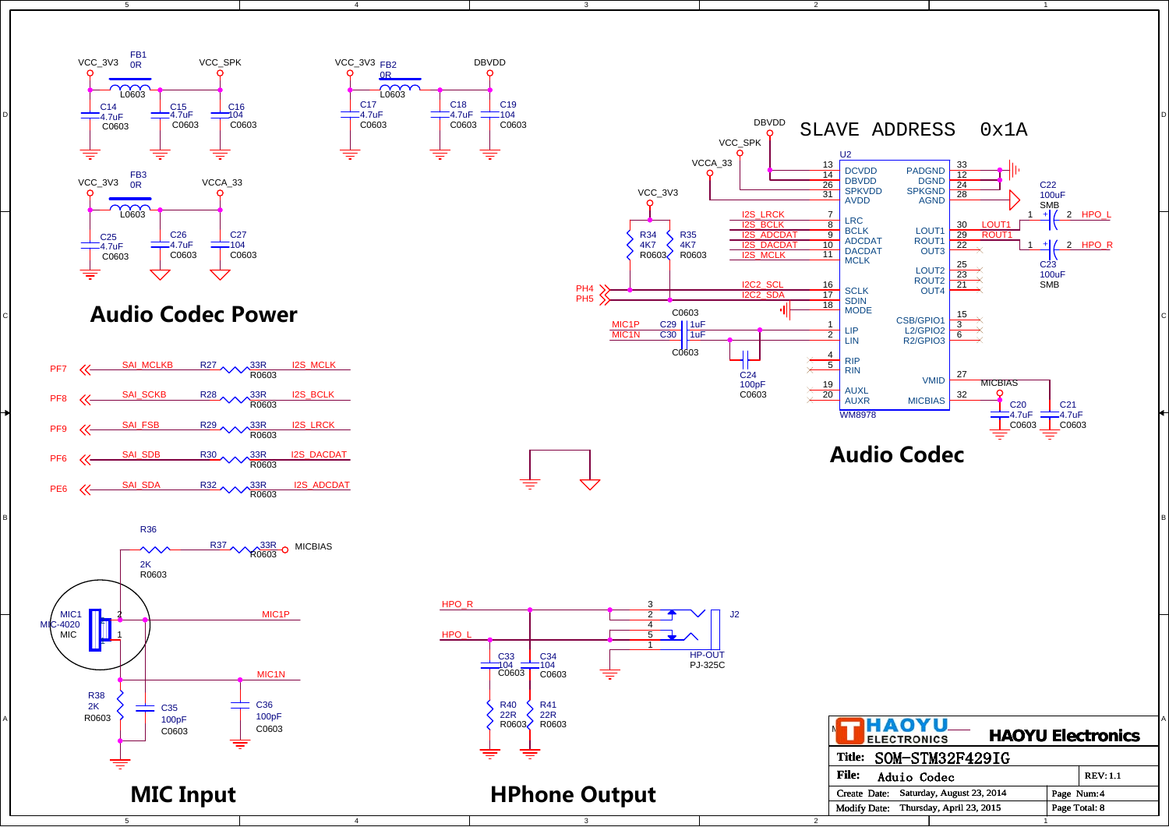

5

D

C

B

A



4

4







5



3

## **HPhone Output**

3



2

**File:**

Create Date: Saturday, August 23, 2014

Aduio Codec

Modify Date: Thursday, April 23, 2015 | Page Total:

2

1

1

REV: 1.1

8

Page Num: 4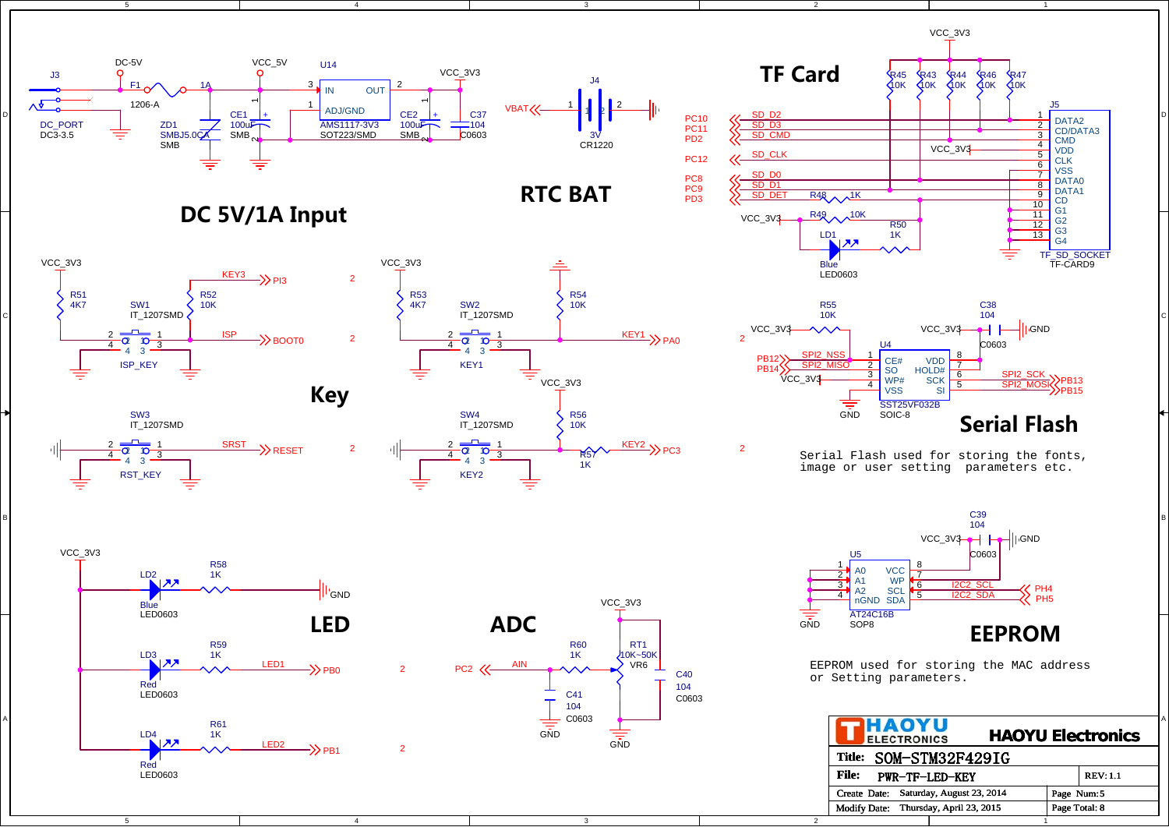

4

**DC 5V/1A Input**



5

C

B

A



5



3

PC8PC9 PD3

 PC11PD2



1

2

2



Serial Flash used for storing the fonts, image or user setting parameters etc.



EEPROM used for storing the MAC address or Setting parameters.

| PHAOYU<br><b>ELECTRONICS</b>                    |               | <b>HAOYU Electronics</b> |
|-------------------------------------------------|---------------|--------------------------|
| SOM-STM32F429IG<br><b>Title:</b>                |               |                          |
| <b>File:</b><br><b>PWR-TF-LED-KEY</b>           |               | <b>REV: 1.1</b>          |
| Saturday, August 23, 2014<br>Create Date:       | Page Num: 5   |                          |
| Thursday, April 23, 2015<br><b>Modify Date:</b> | Page Total: 8 |                          |
|                                                 |               |                          |



4

<sup>2</sup>



3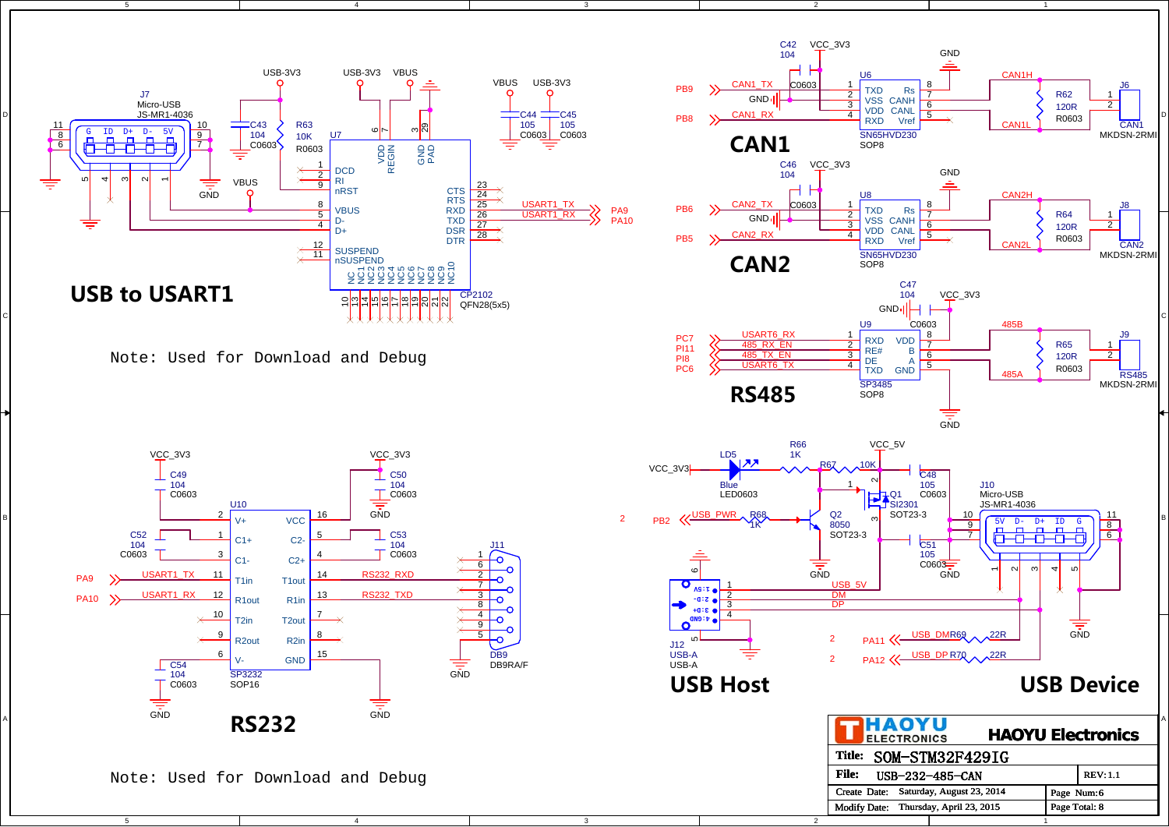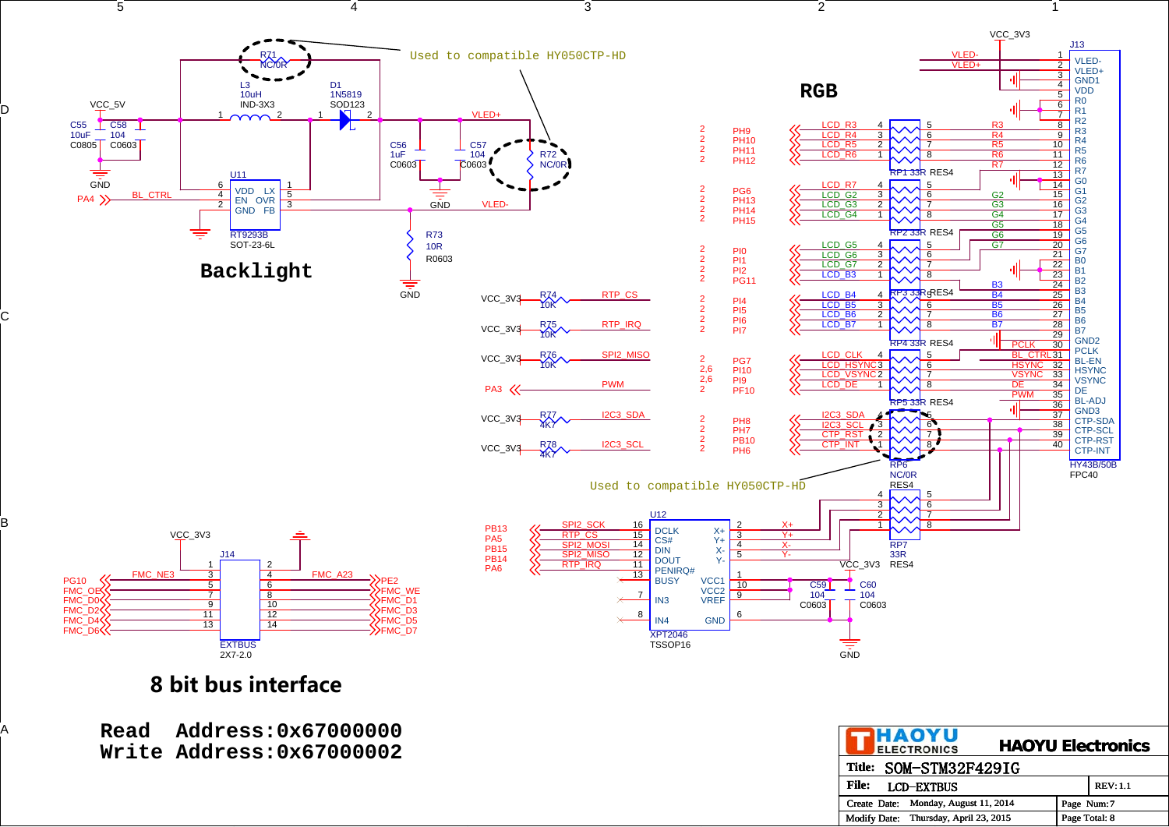

# **8 bit bus interface**

D

C

B

| Read | <b>Address:0x67000000</b><br>Write Address: 0x67000002 |              | <b>THAOYU</b><br>ELECTRONICS          |            | <b>HAOYU Electronics</b> |
|------|--------------------------------------------------------|--------------|---------------------------------------|------------|--------------------------|
|      |                                                        |              | Title: SOM-STM32F429IG                |            |                          |
|      |                                                        | <b>File:</b> | <b>LCD-EXTBUS</b>                     |            | <b>REV: 1.1</b>          |
|      |                                                        |              | Create Date: Monday, August 11, 2014  | Page Num:7 |                          |
|      |                                                        |              | Modify Date: Thursday, April 23, 2015 |            | Page Total: 8            |